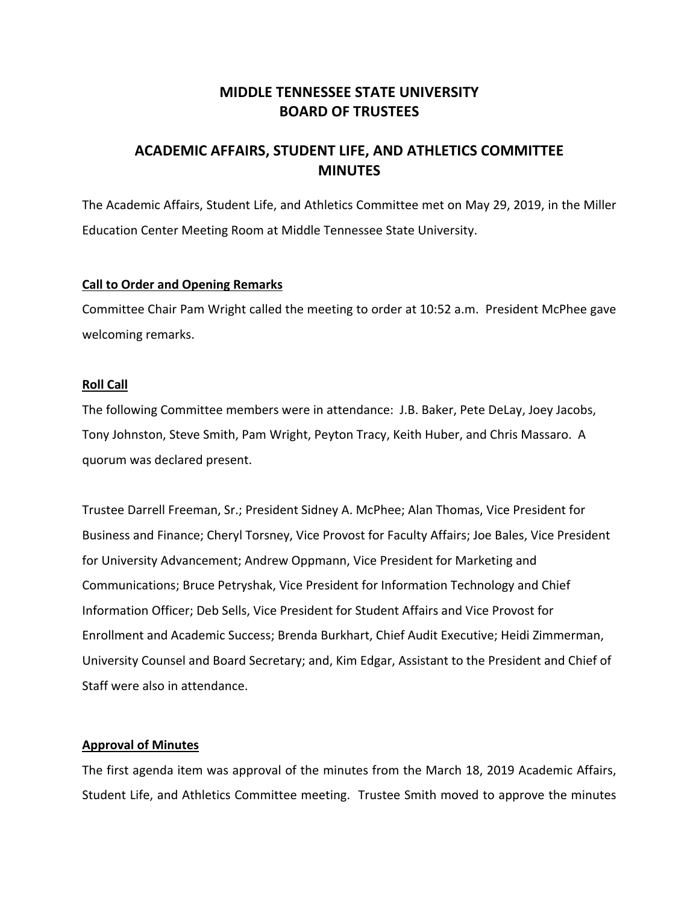# **MIDDLE TENNESSEE STATE UNIVERSITY BOARD OF TRUSTEES**

# **ACADEMIC AFFAIRS, STUDENT LIFE, AND ATHLETICS COMMITTEE MINUTES**

The Academic Affairs, Student Life, and Athletics Committee met on May 29, 2019, in the Miller Education Center Meeting Room at Middle Tennessee State University.

#### **Call to Order and Opening Remarks**

Committee Chair Pam Wright called the meeting to order at 10:52 a.m. President McPhee gave welcoming remarks.

#### **Roll Call**

The following Committee members were in attendance: J.B. Baker, Pete DeLay, Joey Jacobs, Tony Johnston, Steve Smith, Pam Wright, Peyton Tracy, Keith Huber, and Chris Massaro. A quorum was declared present.

Trustee Darrell Freeman, Sr.; President Sidney A. McPhee; Alan Thomas, Vice President for Business and Finance; Cheryl Torsney, Vice Provost for Faculty Affairs; Joe Bales, Vice President for University Advancement; Andrew Oppmann, Vice President for Marketing and Communications; Bruce Petryshak, Vice President for Information Technology and Chief Information Officer; Deb Sells, Vice President for Student Affairs and Vice Provost for Enrollment and Academic Success; Brenda Burkhart, Chief Audit Executive; Heidi Zimmerman, University Counsel and Board Secretary; and, Kim Edgar, Assistant to the President and Chief of Staff were also in attendance.

## **Approval of Minutes**

The first agenda item was approval of the minutes from the March 18, 2019 Academic Affairs, Student Life, and Athletics Committee meeting. Trustee Smith moved to approve the minutes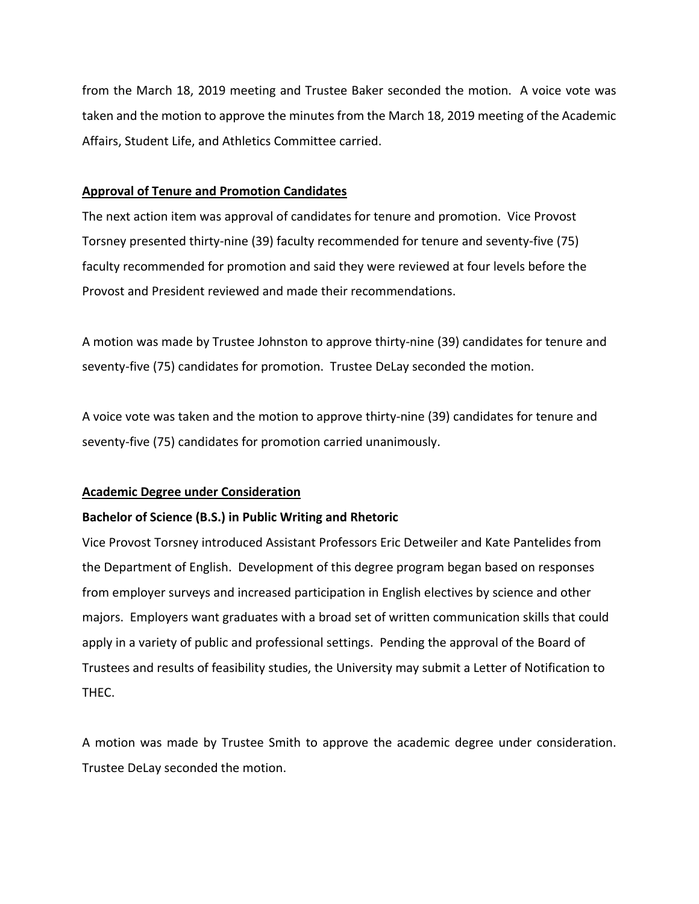from the March 18, 2019 meeting and Trustee Baker seconded the motion. A voice vote was taken and the motion to approve the minutes from the March 18, 2019 meeting of the Academic Affairs, Student Life, and Athletics Committee carried.

## **Approval of Tenure and Promotion Candidates**

The next action item was approval of candidates for tenure and promotion. Vice Provost Torsney presented thirty‐nine (39) faculty recommended for tenure and seventy‐five (75) faculty recommended for promotion and said they were reviewed at four levels before the Provost and President reviewed and made their recommendations.

A motion was made by Trustee Johnston to approve thirty‐nine (39) candidates for tenure and seventy-five (75) candidates for promotion. Trustee DeLay seconded the motion.

A voice vote was taken and the motion to approve thirty‐nine (39) candidates for tenure and seventy‐five (75) candidates for promotion carried unanimously.

## **Academic Degree under Consideration**

## **Bachelor of Science (B.S.) in Public Writing and Rhetoric**

Vice Provost Torsney introduced Assistant Professors Eric Detweiler and Kate Pantelides from the Department of English. Development of this degree program began based on responses from employer surveys and increased participation in English electives by science and other majors. Employers want graduates with a broad set of written communication skills that could apply in a variety of public and professional settings. Pending the approval of the Board of Trustees and results of feasibility studies, the University may submit a Letter of Notification to THEC.

A motion was made by Trustee Smith to approve the academic degree under consideration. Trustee DeLay seconded the motion.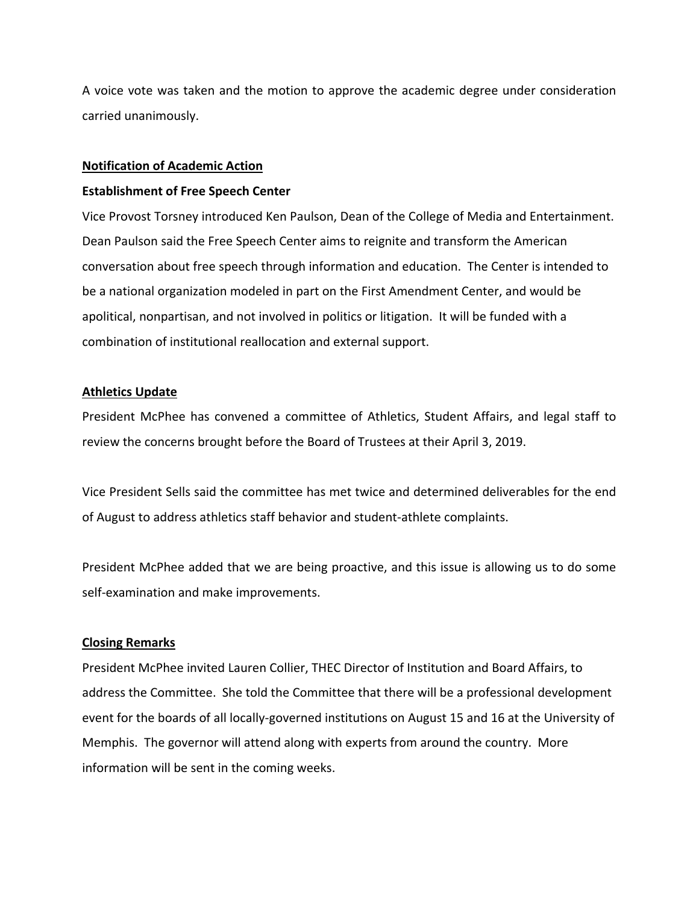A voice vote was taken and the motion to approve the academic degree under consideration carried unanimously.

#### **Notification of Academic Action**

#### **Establishment of Free Speech Center**

Vice Provost Torsney introduced Ken Paulson, Dean of the College of Media and Entertainment. Dean Paulson said the Free Speech Center aims to reignite and transform the American conversation about free speech through information and education. The Center is intended to be a national organization modeled in part on the First Amendment Center, and would be apolitical, nonpartisan, and not involved in politics or litigation. It will be funded with a combination of institutional reallocation and external support.

## **Athletics Update**

President McPhee has convened a committee of Athletics, Student Affairs, and legal staff to review the concerns brought before the Board of Trustees at their April 3, 2019.

Vice President Sells said the committee has met twice and determined deliverables for the end of August to address athletics staff behavior and student‐athlete complaints.

President McPhee added that we are being proactive, and this issue is allowing us to do some self‐examination and make improvements.

## **Closing Remarks**

President McPhee invited Lauren Collier, THEC Director of Institution and Board Affairs, to address the Committee. She told the Committee that there will be a professional development event for the boards of all locally‐governed institutions on August 15 and 16 at the University of Memphis. The governor will attend along with experts from around the country. More information will be sent in the coming weeks.